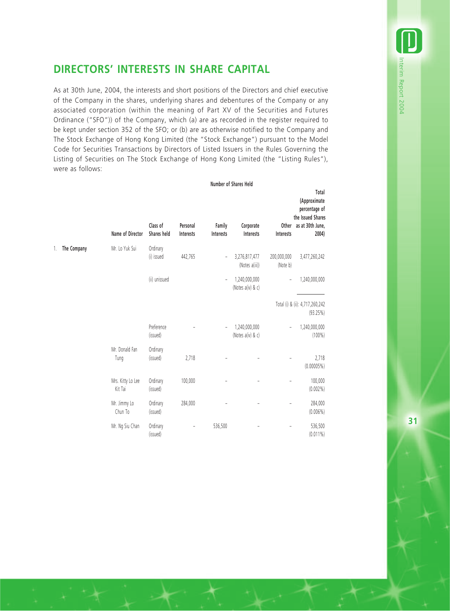## **DIRECTORS' INTERESTS IN SHARE CAPITAL**

As at 30th June, 2004, the interests and short positions of the Directors and chief executive of the Company in the shares, underlying shares and debentures of the Company or any associated corporation (within the meaning of Part XV of the Securities and Futures Ordinance ("SFO")) of the Company, which (a) are as recorded in the register required to be kept under section 352 of the SFO; or (b) are as otherwise notified to the Company and The Stock Exchange of Hong Kong Limited (the "Stock Exchange") pursuant to the Model Code for Securities Transactions by Directors of Listed Issuers in the Rules Governing the Listing of Securities on The Stock Exchange of Hong Kong Limited (the "Listing Rules"), were as follows:

**Number of Shares Held**

|                   | <b>Name of Director</b>      | Class of<br>Shares held | Personal<br>Interests | Family<br>Interests      | Corporate<br>Interests             | Other<br>Interests      | Total<br>(Approximate<br>percentage of<br>the Issued Shares<br>as at 30th June,<br>2004) |
|-------------------|------------------------------|-------------------------|-----------------------|--------------------------|------------------------------------|-------------------------|------------------------------------------------------------------------------------------|
| The Company<br>1. | Mr. Lo Yuk Sui               | Ordinary                |                       |                          |                                    |                         |                                                                                          |
|                   |                              | (i) issued              | 442,765               | $\overline{\phantom{a}}$ | 3,276,817,477<br>(Notes a(iii))    | 200,000,000<br>(Note b) | 3,477,260,242                                                                            |
|                   |                              | (ii) unissued           |                       | $\overline{\phantom{a}}$ | 1,240,000,000<br>(Notes a(iv) & c) | ÷,                      | 1,240,000,000                                                                            |
|                   |                              |                         |                       |                          |                                    |                         | Total (i) & (ii): 4,717,260,242<br>(93.25%)                                              |
|                   |                              | Preference<br>(issued)  |                       | $\bar{ }$                | 1,240,000,000<br>(Notes a(iv) & c) | $\overline{a}$          | 1,240,000,000<br>$(100\%)$                                                               |
|                   | Mr. Donald Fan<br>Tung       | Ordinary<br>(issued)    | 2,718                 |                          |                                    |                         | 2,718<br>(0.00005%)                                                                      |
|                   | Mrs. Kitty Lo Lee<br>Kit Tai | Ordinary<br>(issued)    | 100,000               |                          |                                    | $\overline{a}$          | 100,000<br>$(0.002\%)$                                                                   |
|                   | Mr. Jimmy Lo<br>Chun To      | Ordinary<br>(issued)    | 284,000               |                          |                                    |                         | 284,000<br>$(0.006\%)$                                                                   |
|                   | Mr. Ng Siu Chan              | Ordinary<br>(issued)    |                       | 536,500                  |                                    |                         | 536,500<br>$(0.011\%)$                                                                   |

**31**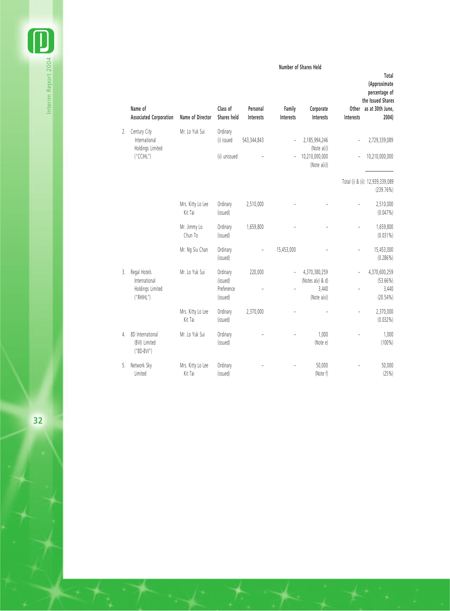**Number of Shares Held**

**Total**

|    | Name of<br><b>Associated Corporation</b>          | Name of Director             | Class of<br>Shares held | Personal<br>Interests | Family<br>Interests | Corporate<br>Interests         | Interests      | (Approximate<br>percentage of<br>the Issued Shares<br>Other as at 30th June,<br>2004) |
|----|---------------------------------------------------|------------------------------|-------------------------|-----------------------|---------------------|--------------------------------|----------------|---------------------------------------------------------------------------------------|
| 2. | Century City                                      | Mr. Lo Yuk Sui               | Ordinary                |                       |                     |                                |                |                                                                                       |
|    | International<br>Holdings Limited<br>("CCHL")     |                              | (i) issued              | 543,344,843           |                     | 2,185,994,246<br>(Note a(i))   |                | 2,729,339,089                                                                         |
|    |                                                   |                              | (ii) unissued           |                       |                     | 10,210,000,000<br>(Note a(ii)) |                | 10,210,000,000                                                                        |
|    |                                                   |                              |                         |                       |                     |                                |                | Total (i) & (ii): 12,939,339,089<br>(239.76%)                                         |
|    |                                                   | Mrs. Kitty Lo Lee<br>Kit Tai | Ordinary<br>(issued)    | 2,510,000             |                     |                                |                | 2,510,000<br>$(0.047\%)$                                                              |
|    |                                                   | Mr. Jimmy Lo<br>Chun To      | Ordinary<br>(issued)    | 1,659,800             |                     |                                | $\overline{a}$ | 1,659,800<br>$(0.031\%)$                                                              |
|    |                                                   | Mr. Ng Siu Chan              | Ordinary<br>(issued)    |                       | 15,453,000          |                                |                | 15,453,000<br>$(0.286\%)$                                                             |
| 3. | Regal Hotels                                      | Mr. Lo Yuk Sui               | Ordinary                | 220,000               | $\overline{a}$      | 4,370,380,259                  |                | 4,370,600,259                                                                         |
|    | International<br>Holdings Limited                 |                              | (issued)<br>Preference  |                       |                     | (Notes a(v) & d)<br>3,440      |                | $(53.66\%)$<br>3,440                                                                  |
|    | ("RHHL")                                          |                              | (issued)                |                       |                     | (Note $a(v)$ )                 |                | $(20.54\%)$                                                                           |
|    |                                                   | Mrs. Kitty Lo Lee<br>Kit Tai | Ordinary<br>(issued)    | 2,370,000             |                     |                                |                | 2,370,000<br>$(0.032\%)$                                                              |
| 4. | 8D International<br>(BVI) Limited<br>$("8D-BVI")$ | Mr. Lo Yuk Sui               | Ordinary<br>(issued)    |                       |                     | 1,000<br>(Note e)              |                | 1,000<br>$(100\%)$                                                                    |
| 5. | Network Sky<br>Limited                            | Mrs. Kitty Lo Lee<br>Kit Tai | Ordinary<br>(issued)    |                       |                     | 50,000<br>(Note f)             |                | 50,000<br>(25%)                                                                       |

 $\begin{smallmatrix}\blacksquare\end{smallmatrix}$ Interim Report 2004 Interim Report 2004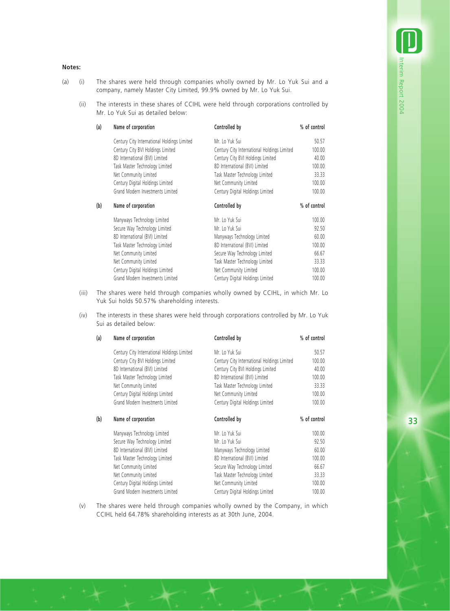## **Notes:**

- (a) (i) The shares were held through companies wholly owned by Mr. Lo Yuk Sui and a company, namely Master City Limited, 99.9% owned by Mr. Lo Yuk Sui.
	- (ii) The interests in these shares of CCIHL were held through corporations controlled by Mr. Lo Yuk Sui as detailed below:

| (a) | Name of corporation                         | Controlled by                               | % of control |  |
|-----|---------------------------------------------|---------------------------------------------|--------------|--|
|     | Century City International Holdings Limited | Mr. Lo Yuk Sui                              | 50.57        |  |
|     | Century City BVI Holdings Limited           | Century City International Holdings Limited | 100.00       |  |
|     | 8D International (BVI) Limited              | Century City BVI Holdings Limited           | 40.00        |  |
|     | Task Master Technology Limited              | 8D International (BVI) Limited              | 100.00       |  |
|     | Net Community Limited                       | Task Master Technology Limited              | 33.33        |  |
|     | Century Digital Holdings Limited            | Net Community Limited                       | 100.00       |  |
|     | Grand Modern Investments Limited            | Century Digital Holdings Limited            | 100.00       |  |
| (b) | Name of corporation                         | Controlled by                               | % of control |  |
|     | Manyways Technology Limited                 | Mr. Lo Yuk Sui                              | 100.00       |  |
|     | Secure Way Technology Limited               | Mr. Lo Yuk Sui                              | 92.50        |  |
|     | 8D International (BVI) Limited              | Manyways Technology Limited                 | 60.00        |  |
|     | Task Master Technology Limited              | 8D International (BVI) Limited              | 100.00       |  |
|     | Net Community Limited                       | Secure Way Technology Limited               | 66.67        |  |
|     | Net Community Limited                       | Task Master Technology Limited              | 33.33        |  |
|     | Century Digital Holdings Limited            | Net Community Limited                       | 100.00       |  |
|     | Grand Modern Investments Limited            | Century Digital Holdings Limited            | 100.00       |  |

- (iii) The shares were held through companies wholly owned by CCIHL, in which Mr. Lo Yuk Sui holds 50.57% shareholding interests.
- (iv) The interests in these shares were held through corporations controlled by Mr. Lo Yuk Sui as detailed below:

| (a) | Name of corporation                         | Controlled by                               | % of control |
|-----|---------------------------------------------|---------------------------------------------|--------------|
|     | Century City International Holdings Limited | Mr. Lo Yuk Sui                              | 50.57        |
|     | Century City BVI Holdings Limited           | Century City International Holdings Limited | 100.00       |
|     | 8D International (BVI) Limited              | Century City BVI Holdings Limited           | 40.00        |
|     | Task Master Technology Limited              | 8D International (BVI) Limited              | 100.00       |
|     | Net Community Limited                       | Task Master Technology Limited              | 33.33        |
|     | Century Digital Holdings Limited            | Net Community Limited                       | 100.00       |
|     | Grand Modern Investments Limited            | Century Digital Holdings Limited            | 100.00       |
| (b) | Name of corporation                         | Controlled by                               | % of control |
|     | Manyways Technology Limited                 | Mr. Lo Yuk Sui                              | 100.00       |
|     | Secure Way Technology Limited               | Mr. Lo Yuk Sui                              | 92.50        |
|     | 8D International (BVI) Limited              | Manyways Technology Limited                 | 60.00        |
|     | Task Master Technology Limited              | 8D International (BVI) Limited              | 100.00       |
|     | Net Community Limited                       | Secure Way Technology Limited               | 66.67        |
|     | Net Community Limited                       | Task Master Technology Limited              | 33.33        |
|     | Century Digital Holdings Limited            | Net Community Limited                       | 100.00       |
|     | Grand Modern Investments Limited            | Century Digital Holdings Limited            | 100.00       |

(v) The shares were held through companies wholly owned by the Company, in which CCIHL held 64.78% shareholding interests as at 30th June, 2004.